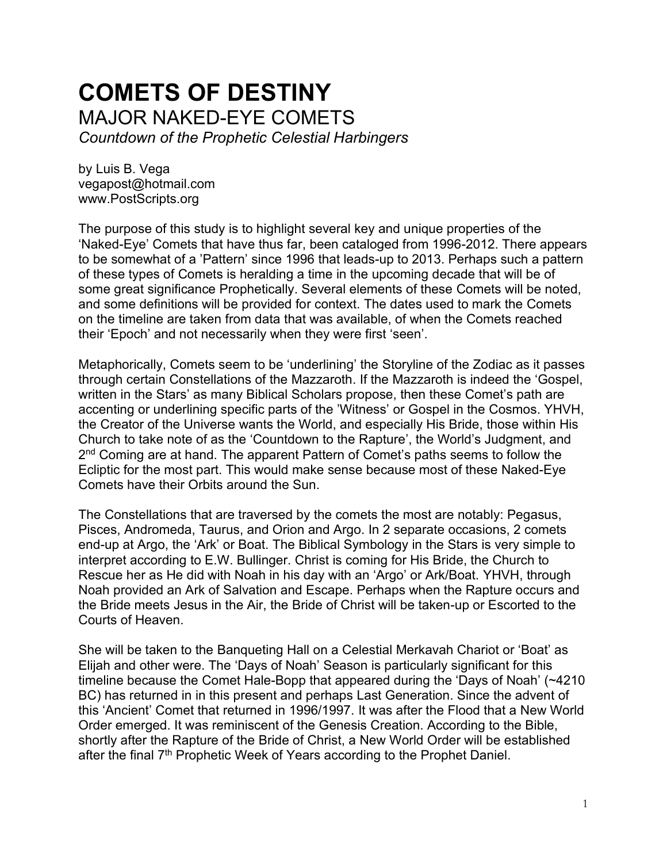# **COMETS OF DESTINY** MAJOR NAKED-EYE COMETS *Countdown of the Prophetic Celestial Harbingers*

by Luis B. Vega [vegapost@hotmail.com](mailto:vegapost@hotmail.com) [www.PostScripts.org](http://www.postscripts.org/)

The purpose of this study is to highlight several key and unique properties of the 'Naked-Eye' Comets that have thus far, been cataloged from 1996-2012. There appears to be somewhat of a 'Pattern' since 1996 that leads-up to 2013. Perhaps such a pattern of these types of Comets is heralding a time in the upcoming decade that will be of some great significance Prophetically. Several elements of these Comets will be noted, and some definitions will be provided for context. The dates used to mark the Comets on the timeline are taken from data that was available, of when the Comets reached their 'Epoch' and not necessarily when they were first 'seen'.

Metaphorically, Comets seem to be 'underlining' the Storyline of the Zodiac as it passes through certain Constellations of the Mazzaroth. If the Mazzaroth is indeed the 'Gospel, written in the Stars' as many Biblical Scholars propose, then these Comet's path are accenting or underlining specific parts of the 'Witness' or Gospel in the Cosmos. YHVH, the Creator of the Universe wants the World, and especially His Bride, those within His Church to take note of as the 'Countdown to the Rapture', the World's Judgment, and 2<sup>nd</sup> Coming are at hand. The apparent Pattern of Comet's paths seems to follow the Ecliptic for the most part. This would make sense because most of these Naked-Eye Comets have their Orbits around the Sun.

The Constellations that are traversed by the comets the most are notably: Pegasus, Pisces, Andromeda, Taurus, and Orion and Argo. In 2 separate occasions, 2 comets end-up at Argo, the 'Ark' or Boat. The Biblical Symbology in the Stars is very simple to interpret according to E.W. Bullinger. Christ is coming for His Bride, the Church to Rescue her as He did with Noah in his day with an 'Argo' or Ark/Boat. YHVH, through Noah provided an Ark of Salvation and Escape. Perhaps when the Rapture occurs and the Bride meets Jesus in the Air, the Bride of Christ will be taken-up or Escorted to the Courts of Heaven.

She will be taken to the Banqueting Hall on a Celestial Merkavah Chariot or 'Boat' as Elijah and other were. The 'Days of Noah' Season is particularly significant for this timeline because the Comet Hale-Bopp that appeared during the 'Days of Noah' (~4210 BC) has returned in in this present and perhaps Last Generation. Since the advent of this 'Ancient' Comet that returned in 1996/1997. It was after the Flood that a New World Order emerged. It was reminiscent of the Genesis Creation. According to the Bible, shortly after the Rapture of the Bride of Christ, a New World Order will be established after the final 7<sup>th</sup> Prophetic Week of Years according to the Prophet Daniel.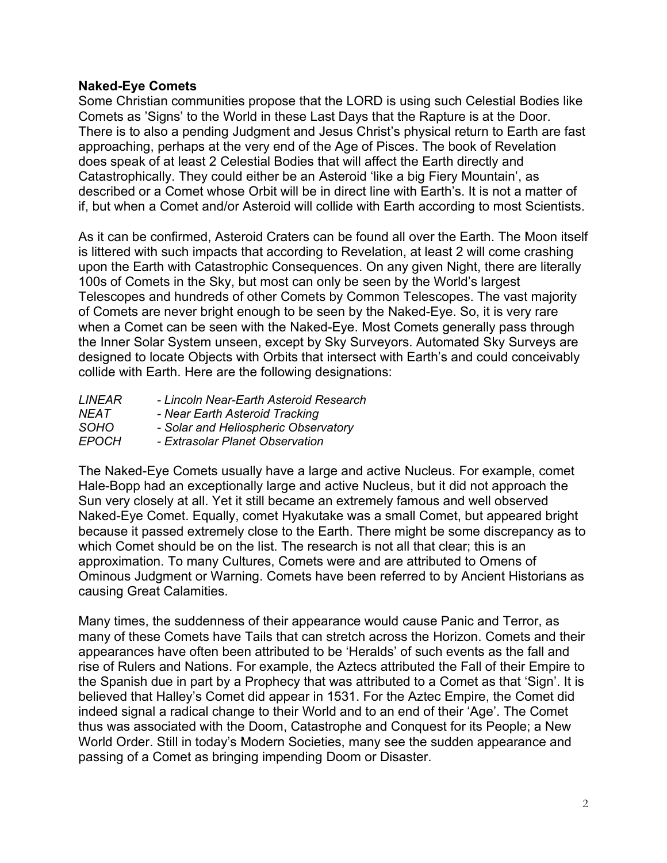## **Naked-Eye Comets**

Some Christian communities propose that the LORD is using such Celestial Bodies like Comets as 'Signs' to the World in these Last Days that the Rapture is at the Door. There is to also a pending Judgment and Jesus Christ's physical return to Earth are fast approaching, perhaps at the very end of the Age of Pisces. The book of Revelation does speak of at least 2 Celestial Bodies that will affect the Earth directly and Catastrophically. They could either be an Asteroid 'like a big Fiery Mountain', as described or a Comet whose Orbit will be in direct line with Earth's. It is not a matter of if, but when a Comet and/or Asteroid will collide with Earth according to most Scientists.

As it can be confirmed, Asteroid Craters can be found all over the Earth. The Moon itself is littered with such impacts that according to Revelation, at least 2 will come crashing upon the Earth with Catastrophic Consequences. On any given Night, there are literally 100s of Comets in the Sky, but most can only be seen by the World's largest Telescopes and hundreds of other Comets by Common Telescopes. The vast majority of Comets are never bright enough to be seen by the Naked-Eye. So, it is very rare when a Comet can be seen with the Naked-Eye. Most Comets generally pass through the Inner Solar System unseen, except by Sky Surveyors. Automated Sky Surveys are designed to locate Objects with Orbits that intersect with Earth's and could conceivably collide with Earth. Here are the following designations:

| - Lincoln Near-Earth Asteroid Research |
|----------------------------------------|
| - Near Earth Asteroid Tracking         |
| - Solar and Heliospheric Observatory   |
| - Extrasolar Planet Observation        |
|                                        |

The Naked-Eye Comets usually have a large and active Nucleus. For example, comet Hale-Bopp had an exceptionally large and active Nucleus, but it did not approach the Sun very closely at all. Yet it still became an extremely famous and well observed Naked-Eye Comet. Equally, comet Hyakutake was a small Comet, but appeared bright because it passed extremely close to the Earth. There might be some discrepancy as to which Comet should be on the list. The research is not all that clear; this is an approximation. To many Cultures, Comets were and are attributed to Omens of Ominous Judgment or Warning. Comets have been referred to by Ancient Historians as causing Great Calamities.

Many times, the suddenness of their appearance would cause Panic and Terror, as many of these Comets have Tails that can stretch across the Horizon. Comets and their appearances have often been attributed to be 'Heralds' of such events as the fall and rise of Rulers and Nations. For example, the Aztecs attributed the Fall of their Empire to the Spanish due in part by a Prophecy that was attributed to a Comet as that 'Sign'. It is believed that Halley's Comet did appear in 1531. For the Aztec Empire, the Comet did indeed signal a radical change to their World and to an end of their 'Age'. The Comet thus was associated with the Doom, Catastrophe and Conquest for its People; a New World Order. Still in today's Modern Societies, many see the sudden appearance and passing of a Comet as bringing impending Doom or Disaster.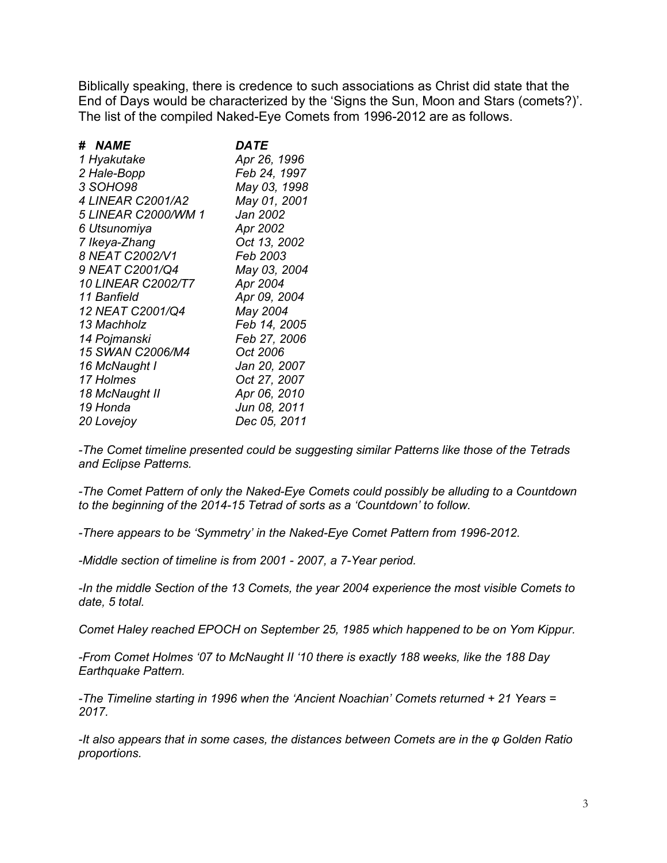Biblically speaking, there is credence to such associations as Christ did state that the End of Days would be characterized by the 'Signs the Sun, Moon and Stars (comets?)'. The list of the compiled Naked-Eye Comets from 1996-2012 are as follows.

| # NAME                     | DATE            |
|----------------------------|-----------------|
| 1 Hyakutake                | Apr 26, 1996    |
| 2 Hale-Bopp                | Feb 24, 1997    |
| 3 SOHO98                   | May 03, 1998    |
| <i>4 LINEAR C2001/A2</i>   | May 01, 2001    |
| <i>5 LINEAR C2000/WM 1</i> | Jan 2002        |
| 6 Utsunomiya               | Apr 2002        |
| 7 Ikeya-Zhang              | Oct 13, 2002    |
| 8 NEAT C2002/V1            | <i>Feb 2003</i> |
| 9 NEAT C2001/Q4            | May 03, 2004    |
| <b>10 LINEAR C2002/T7</b>  | Apr 2004        |
| 11 Banfield                | Apr 09, 2004    |
| 12 NEAT C2001/Q4           | May 2004        |
| 13 Machholz                | Feb 14, 2005    |
| 14 Pojmanski               | Feb 27, 2006    |
| <b>15 SWAN C2006/M4</b>    | Oct 2006        |
| 16 McNaught I              | Jan 20, 2007    |
| 17 Holmes                  | Oct 27, 2007    |
| 18 McNaught II             | Apr 06, 2010    |
| 19 Honda                   | Jun 08, 2011    |
| 20 Lovejoy                 | Dec 05, 2011    |

*-The Comet timeline presented could be suggesting similar Patterns like those of the Tetrads and Eclipse Patterns.*

*-The Comet Pattern of only the Naked-Eye Comets could possibly be alluding to a Countdown to the beginning of the 2014-15 Tetrad of sorts as a 'Countdown' to follow.*

*-There appears to be 'Symmetry' in the Naked-Eye Comet Pattern from 1996-2012.*

*-Middle section of timeline is from 2001 - 2007, a 7-Year period.*

*-In the middle Section of the 13 Comets, the year 2004 experience the most visible Comets to date, 5 total.*

*Comet Haley reached EPOCH on September 25, 1985 which happened to be on Yom Kippur.*

*-From Comet Holmes '07 to McNaught II '10 there is exactly 188 weeks, like the 188 Day Earthquake Pattern.*

*-The Timeline starting in 1996 when the 'Ancient Noachian' Comets returned + 21 Years = 2017.*

*-It also appears that in some cases, the distances between Comets are in the φ Golden Ratio proportions.*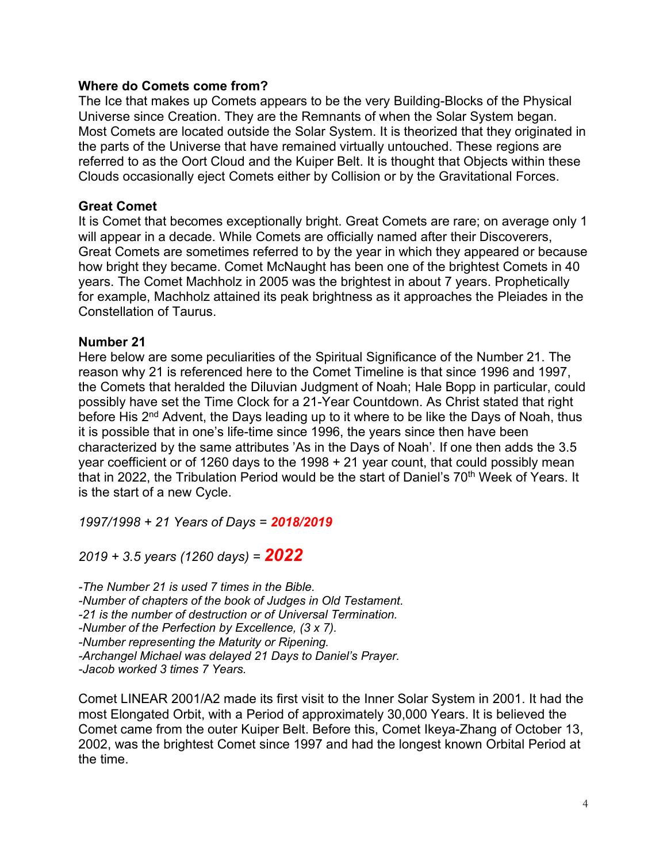#### **Where do Comets come from?**

The Ice that makes up Comets appears to be the very Building-Blocks of the Physical Universe since Creation. They are the Remnants of when the Solar System began. Most Comets are located outside the Solar System. It is theorized that they originated in the parts of the Universe that have remained virtually untouched. These regions are referred to as the Oort Cloud and the Kuiper Belt. It is thought that Objects within these Clouds occasionally eject Comets either by Collision or by the Gravitational Forces.

## **Great Comet**

It is Comet that becomes exceptionally bright. Great Comets are rare; on average only 1 will appear in a decade. While Comets are officially named after their Discoverers, Great Comets are sometimes referred to by the year in which they appeared or because how bright they became. Comet McNaught has been one of the brightest Comets in 40 years. The Comet Machholz in 2005 was the brightest in about 7 years. Prophetically for example, Machholz attained its peak brightness as it approaches the Pleiades in the Constellation of Taurus.

#### **Number 21**

Here below are some peculiarities of the Spiritual Significance of the Number 21. The reason why 21 is referenced here to the Comet Timeline is that since 1996 and 1997, the Comets that heralded the Diluvian Judgment of Noah; Hale Bopp in particular, could possibly have set the Time Clock for a 21-Year Countdown. As Christ stated that right before His 2<sup>nd</sup> Advent, the Days leading up to it where to be like the Days of Noah, thus it is possible that in one's life-time since 1996, the years since then have been characterized by the same attributes 'As in the Days of Noah'. If one then adds the 3.5 year coefficient or of 1260 days to the 1998 + 21 year count, that could possibly mean that in 2022, the Tribulation Period would be the start of Daniel's 70<sup>th</sup> Week of Years. It is the start of a new Cycle.

*1997/1998 + 21 Years of Days = 2018/2019*

*2019 + 3.5 years (1260 days) = 2022*

*-The Number 21 is used 7 times in the Bible. -Number of chapters of the book of Judges in Old Testament. -21 is the number of destruction or of Universal Termination. -Number of the Perfection by Excellence, (3 x 7). -Number representing the Maturity or Ripening. -Archangel Michael was delayed 21 Days to Daniel's Prayer. -Jacob worked 3 times 7 Years.*

Comet LINEAR 2001/A2 made its first visit to the Inner Solar System in 2001. It had the most Elongated Orbit, with a Period of approximately 30,000 Years. It is believed the Comet came from the outer Kuiper Belt. Before this, Comet Ikeya-Zhang of October 13, 2002, was the brightest Comet since 1997 and had the longest known Orbital Period at the time.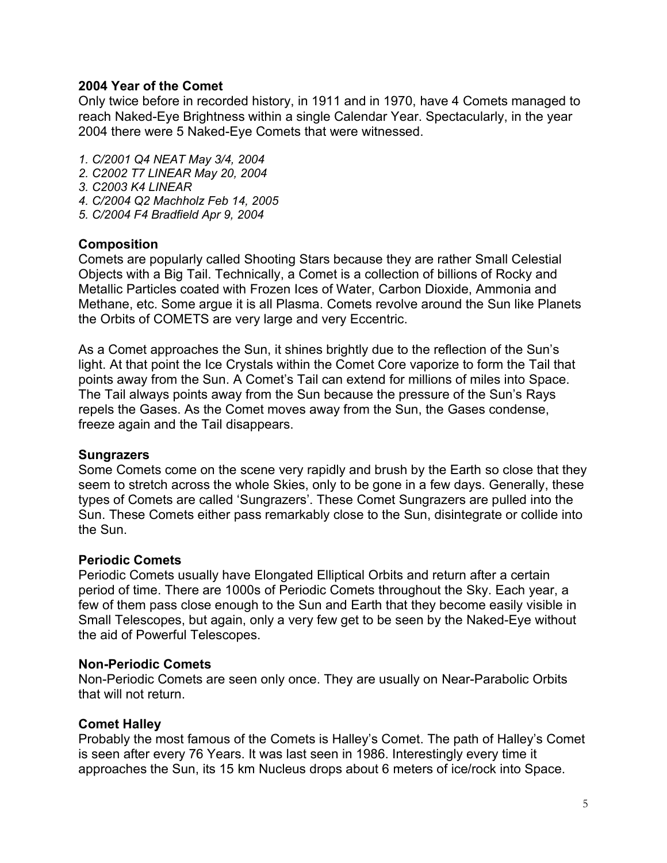#### **2004 Year of the Comet**

Only twice before in recorded history, in 1911 and in 1970, have 4 Comets managed to reach Naked-Eye Brightness within a single Calendar Year. Spectacularly, in the year 2004 there were 5 Naked-Eye Comets that were witnessed.

*1. C/2001 Q4 NEAT May 3/4, 2004*

*2. C2002 T7 LINEAR May 20, 2004*

*3. C2003 K4 LINEAR* 

- *4. C/2004 Q2 Machholz Feb 14, 2005*
- *5. C/2004 F4 Bradfield Apr 9, 2004*

#### **Composition**

Comets are popularly called Shooting Stars because they are rather Small Celestial Objects with a Big Tail. Technically, a Comet is a collection of billions of Rocky and Metallic Particles coated with Frozen Ices of Water, Carbon Dioxide, Ammonia and Methane, etc. Some argue it is all Plasma. Comets revolve around the Sun like Planets the Orbits of COMETS are very large and very Eccentric.

As a Comet approaches the Sun, it shines brightly due to the reflection of the Sun's light. At that point the Ice Crystals within the Comet Core vaporize to form the Tail that points away from the Sun. A Comet's Tail can extend for millions of miles into Space. The Tail always points away from the Sun because the pressure of the Sun's Rays repels the Gases. As the Comet moves away from the Sun, the Gases condense, freeze again and the Tail disappears.

#### **Sungrazers**

Some Comets come on the scene very rapidly and brush by the Earth so close that they seem to stretch across the whole Skies, only to be gone in a few days. Generally, these types of Comets are called 'Sungrazers'. These Comet Sungrazers are pulled into the Sun. These Comets either pass remarkably close to the Sun, disintegrate or collide into the Sun.

#### **Periodic Comets**

Periodic Comets usually have Elongated Elliptical Orbits and return after a certain period of time. There are 1000s of Periodic Comets throughout the Sky. Each year, a few of them pass close enough to the Sun and Earth that they become easily visible in Small Telescopes, but again, only a very few get to be seen by the Naked-Eye without the aid of Powerful Telescopes.

## **Non-Periodic Comets**

Non-Periodic Comets are seen only once. They are usually on Near-Parabolic Orbits that will not return.

## **Comet Halley**

Probably the most famous of the Comets is Halley's Comet. The path of Halley's Comet is seen after every 76 Years. It was last seen in 1986. Interestingly every time it approaches the Sun, its 15 km Nucleus drops about 6 meters of ice/rock into Space.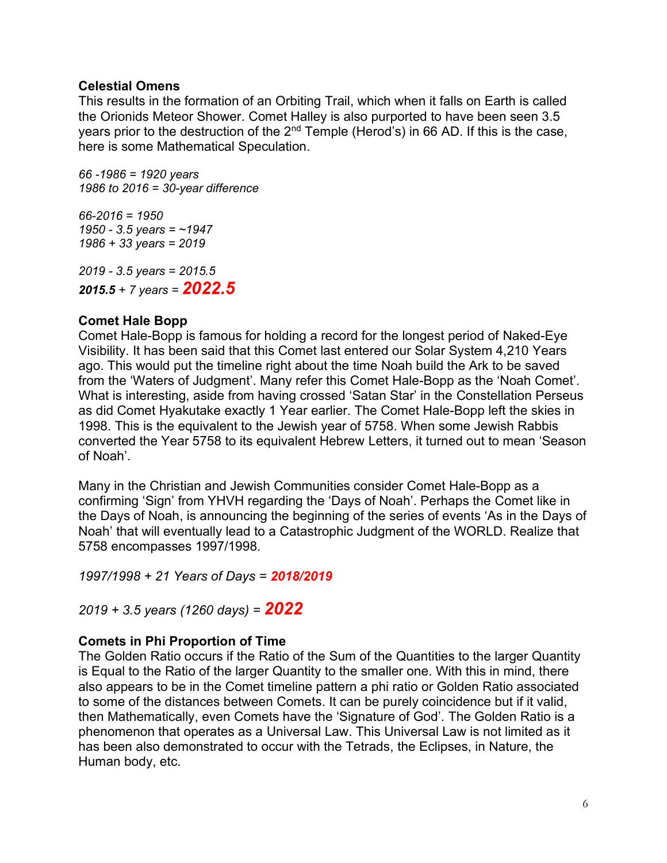## **Celestial Omens**

This results in the formation of an Orbiting Trail, which when it falls on Earth is called the Orionids Meteor Shower. Comet Halley is also purported to have been seen 3.5 years prior to the destruction of the 2<sup>nd</sup> Temple (Herod's) in 66 AD. If this is the case, here is some Mathematical Speculation.

*66 -1986 = 1920 years 1986 to 2016 = 30-year difference*

*66-2016 = 1950 1950 - 3.5 years = ~1947 1986 + 33 years = 2019*

*2019 - 3.5 years = 2015.5 2015.5 + 7 years = 2022.5*

## **Comet Hale Bopp**

Comet Hale-Bopp is famous for holding a record for the longest period of Naked-Eye Visibility. It has been said that this Comet last entered our Solar System 4,210 Years ago. This would put the timeline right about the time Noah build the Ark to be saved from the 'Waters of Judgment'. Many refer this Comet Hale-Bopp as the 'Noah Comet'. What is interesting, aside from having crossed 'Satan Star' in the Constellation Perseus as did Comet Hyakutake exactly 1 Year earlier. The Comet Hale-Bopp left the skies in 1998. This is the equivalent to the Jewish year of 5758. When some Jewish Rabbis converted the Year 5758 to its equivalent Hebrew Letters, it turned out to mean 'Season of Noah'.

Many in the Christian and Jewish Communities consider Comet Hale-Bopp as a confirming 'Sign' from YHVH regarding the 'Days of Noah'. Perhaps the Comet like in the Days of Noah, is announcing the beginning of the series of events 'As in the Days of Noah' that will eventually lead to a Catastrophic Judgment of the WORLD. Realize that 5758 encompasses 1997/1998.

*1997/1998 + 21 Years of Days = 2018/2019*

*2019 + 3.5 years (1260 days) = 2022*

## **Comets in Phi Proportion of Time**

The Golden Ratio occurs if the Ratio of the Sum of the Quantities to the larger Quantity is Equal to the Ratio of the larger Quantity to the smaller one. With this in mind, there also appears to be in the Comet timeline pattern a phi ratio or Golden Ratio associated to some of the distances between Comets. It can be purely coincidence but if it valid, then Mathematically, even Comets have the 'Signature of God'. The Golden Ratio is a phenomenon that operates as a Universal Law. This Universal Law is not limited as it has been also demonstrated to occur with the Tetrads, the Eclipses, in Nature, the Human body, etc.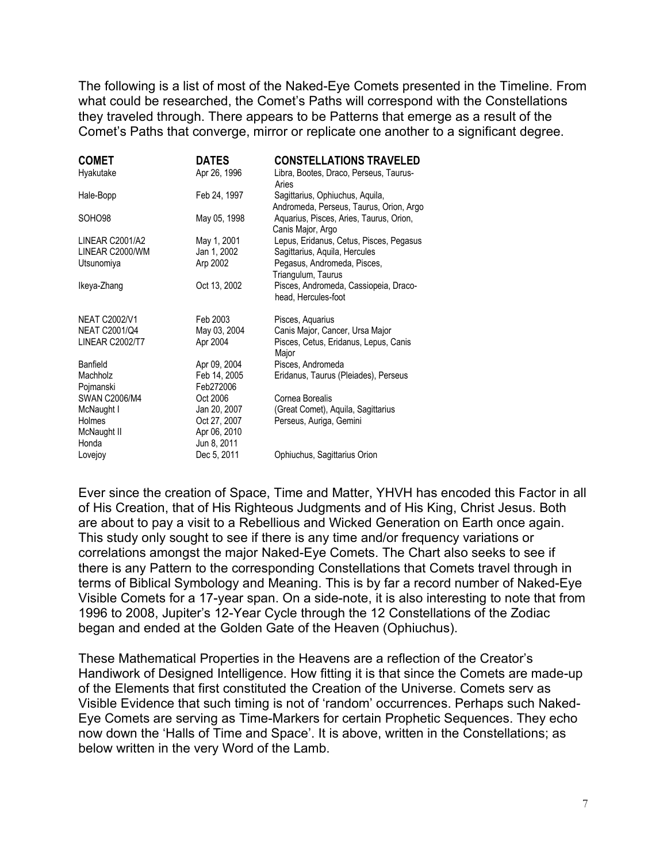The following is a list of most of the Naked-Eye Comets presented in the Timeline. From what could be researched, the Comet's Paths will correspond with the Constellations they traveled through. There appears to be Patterns that emerge as a result of the Comet's Paths that converge, mirror or replicate one another to a significant degree.

| <b>COMET</b>         | <b>DATES</b> | <b>CONSTELLATIONS TRAVELED</b>                                             |
|----------------------|--------------|----------------------------------------------------------------------------|
| Hyakutake            | Apr 26, 1996 | Libra, Bootes, Draco, Perseus, Taurus-<br>Aries                            |
| Hale-Bopp            | Feb 24, 1997 | Sagittarius, Ophiuchus, Aquila,<br>Andromeda, Perseus, Taurus, Orion, Argo |
| SOHO98               | May 05, 1998 | Aquarius, Pisces, Aries, Taurus, Orion,<br>Canis Major, Argo               |
| LINEAR C2001/A2      | May 1, 2001  | Lepus, Eridanus, Cetus, Pisces, Pegasus                                    |
| LINEAR C2000/WM      | Jan 1, 2002  | Sagittarius, Aguila, Hercules                                              |
| Utsunomiya           | Arp 2002     | Pegasus, Andromeda, Pisces,<br>Triangulum, Taurus                          |
| Ikeya-Zhang          | Oct 13, 2002 | Pisces, Andromeda, Cassiopeia, Draco-<br>head, Hercules-foot               |
| <b>NEAT C2002/V1</b> | Feb 2003     | Pisces, Aquarius                                                           |
| <b>NEAT C2001/Q4</b> | May 03, 2004 | Canis Major, Cancer, Ursa Major                                            |
| LINEAR C2002/T7      | Apr 2004     | Pisces, Cetus, Eridanus, Lepus, Canis<br>Major                             |
| Banfield             | Apr 09, 2004 | Pisces, Andromeda                                                          |
| Machholz             | Feb 14, 2005 | Eridanus, Taurus (Pleiades), Perseus                                       |
| Pojmanski            | Feb272006    |                                                                            |
| <b>SWAN C2006/M4</b> | Oct 2006     | Cornea Borealis                                                            |
| McNaught I           | Jan 20, 2007 | (Great Comet), Aquila, Sagittarius                                         |
| Holmes               | Oct 27, 2007 | Perseus, Auriga, Gemini                                                    |
| McNaught II          | Apr 06, 2010 |                                                                            |
| Honda                | Jun 8, 2011  |                                                                            |
| Lovejoy              | Dec 5, 2011  | Ophiuchus, Sagittarius Orion                                               |

Ever since the creation of Space, Time and Matter, YHVH has encoded this Factor in all of His Creation, that of His Righteous Judgments and of His King, Christ Jesus. Both are about to pay a visit to a Rebellious and Wicked Generation on Earth once again. This study only sought to see if there is any time and/or frequency variations or correlations amongst the major Naked-Eye Comets. The Chart also seeks to see if there is any Pattern to the corresponding Constellations that Comets travel through in terms of Biblical Symbology and Meaning. This is by far a record number of Naked-Eye Visible Comets for a 17-year span. On a side-note, it is also interesting to note that from 1996 to 2008, Jupiter's 12-Year Cycle through the 12 Constellations of the Zodiac began and ended at the Golden Gate of the Heaven (Ophiuchus).

These Mathematical Properties in the Heavens are a reflection of the Creator's Handiwork of Designed Intelligence. How fitting it is that since the Comets are made-up of the Elements that first constituted the Creation of the Universe. Comets serv as Visible Evidence that such timing is not of 'random' occurrences. Perhaps such Naked-Eye Comets are serving as Time-Markers for certain Prophetic Sequences. They echo now down the 'Halls of Time and Space'. It is above, written in the Constellations; as below written in the very Word of the Lamb.